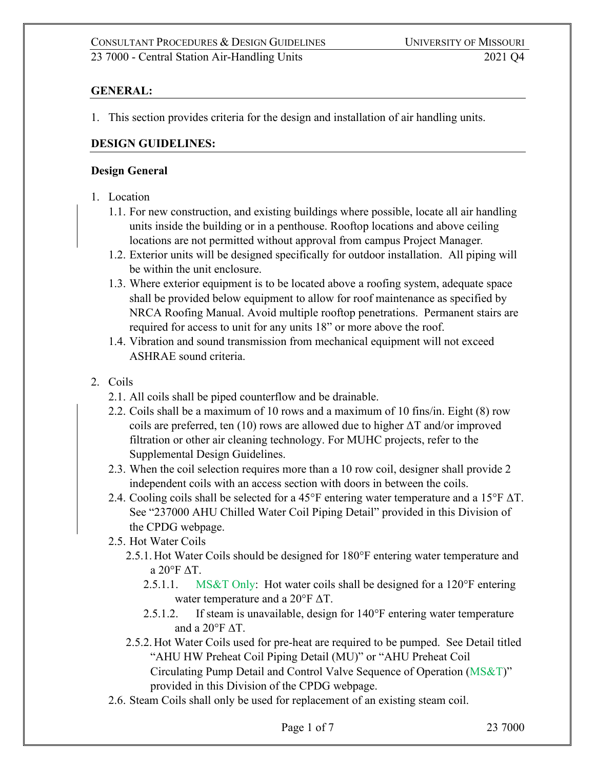# **GENERAL:**

1. This section provides criteria for the design and installation of air handling units.

#### **DESIGN GUIDELINES:**

#### **Design General**

- 1. Location
	- 1.1. For new construction, and existing buildings where possible, locate all air handling units inside the building or in a penthouse. Rooftop locations and above ceiling locations are not permitted without approval from campus Project Manager*.*
	- 1.2. Exterior units will be designed specifically for outdoor installation. All piping will be within the unit enclosure.
	- 1.3. Where exterior equipment is to be located above a roofing system, adequate space shall be provided below equipment to allow for roof maintenance as specified by NRCA Roofing Manual. Avoid multiple rooftop penetrations. Permanent stairs are required for access to unit for any units 18" or more above the roof.
	- 1.4. Vibration and sound transmission from mechanical equipment will not exceed ASHRAE sound criteria.
- 2. Coils
	- 2.1. All coils shall be piped counterflow and be drainable.
	- 2.2. Coils shall be a maximum of 10 rows and a maximum of 10 fins/in. Eight (8) row coils are preferred, ten (10) rows are allowed due to higher  $\Delta T$  and/or improved filtration or other air cleaning technology. For MUHC projects, refer to the Supplemental Design Guidelines.
	- 2.3. When the coil selection requires more than a 10 row coil, designer shall provide 2 independent coils with an access section with doors in between the coils.
	- 2.4. Cooling coils shall be selected for a 45°F entering water temperature and a 15°F ΔT. See "237000 AHU Chilled Water Coil Piping Detail" provided in this Division of the CPDG webpage.
	- 2.5. Hot Water Coils
		- 2.5.1. Hot Water Coils should be designed for 180°F entering water temperature and a 20°F ΔT.
			- 2.5.1.1. MS&T Only: Hot water coils shall be designed for a 120°F entering water temperature and a 20°F ΔT.
			- 2.5.1.2. If steam is unavailable, design for 140°F entering water temperature and a  $20^{\circ}$ F  $\Delta$ T.
		- 2.5.2. Hot Water Coils used for pre-heat are required to be pumped. See Detail titled "AHU HW Preheat Coil Piping Detail (MU)" or "AHU Preheat Coil Circulating Pump Detail and Control Valve Sequence of Operation (MS&T)" provided in this Division of the CPDG webpage.
	- 2.6. Steam Coils shall only be used for replacement of an existing steam coil.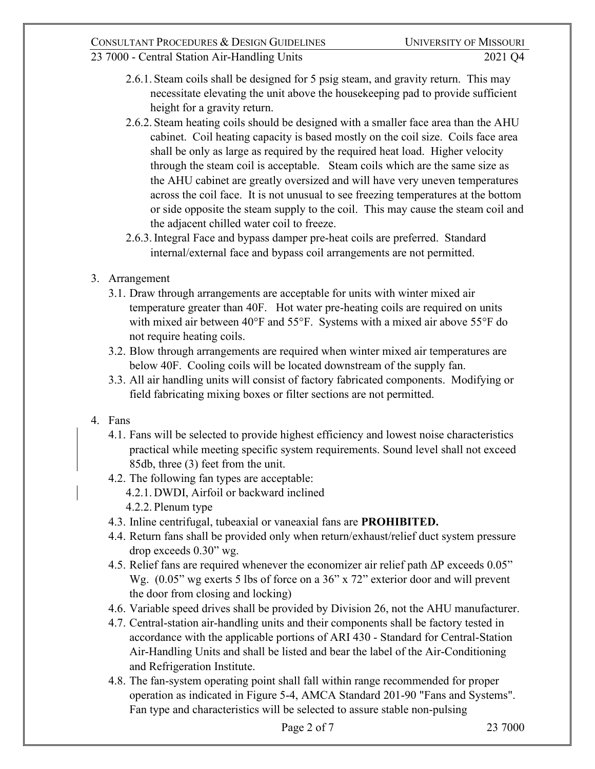# CONSULTANT PROCEDURES & DESIGN GUIDELINES UNIVERSITY OF MISSOURI

- 2.6.1. Steam coils shall be designed for 5 psig steam, and gravity return. This may necessitate elevating the unit above the housekeeping pad to provide sufficient height for a gravity return.
- 2.6.2. Steam heating coils should be designed with a smaller face area than the AHU cabinet. Coil heating capacity is based mostly on the coil size. Coils face area shall be only as large as required by the required heat load. Higher velocity through the steam coil is acceptable. Steam coils which are the same size as the AHU cabinet are greatly oversized and will have very uneven temperatures across the coil face. It is not unusual to see freezing temperatures at the bottom or side opposite the steam supply to the coil. This may cause the steam coil and the adjacent chilled water coil to freeze.
- 2.6.3.Integral Face and bypass damper pre-heat coils are preferred. Standard internal/external face and bypass coil arrangements are not permitted.
- 3. Arrangement
	- 3.1. Draw through arrangements are acceptable for units with winter mixed air temperature greater than 40F. Hot water pre-heating coils are required on units with mixed air between 40°F and 55°F. Systems with a mixed air above 55°F do not require heating coils.
	- 3.2. Blow through arrangements are required when winter mixed air temperatures are below 40F. Cooling coils will be located downstream of the supply fan.
	- 3.3. All air handling units will consist of factory fabricated components. Modifying or field fabricating mixing boxes or filter sections are not permitted.
- 4. Fans
	- 4.1. Fans will be selected to provide highest efficiency and lowest noise characteristics practical while meeting specific system requirements. Sound level shall not exceed 85db, three (3) feet from the unit.
	- 4.2. The following fan types are acceptable:
		- 4.2.1. DWDI, Airfoil or backward inclined
		- 4.2.2. Plenum type
	- 4.3. Inline centrifugal, tubeaxial or vaneaxial fans are **PROHIBITED.**
	- 4.4. Return fans shall be provided only when return/exhaust/relief duct system pressure drop exceeds 0.30" wg.
	- 4.5. Relief fans are required whenever the economizer air relief path ΔP exceeds 0.05" Wg.  $(0.05)$  wg exerts 5 lbs of force on a 36" x 72" exterior door and will prevent the door from closing and locking)
	- 4.6. Variable speed drives shall be provided by Division 26, not the AHU manufacturer.
	- 4.7. Central-station air-handling units and their components shall be factory tested in accordance with the applicable portions of ARI 430 - Standard for Central-Station Air-Handling Units and shall be listed and bear the label of the Air-Conditioning and Refrigeration Institute.
	- 4.8. The fan-system operating point shall fall within range recommended for proper operation as indicated in Figure 5-4, AMCA Standard 201-90 "Fans and Systems". Fan type and characteristics will be selected to assure stable non-pulsing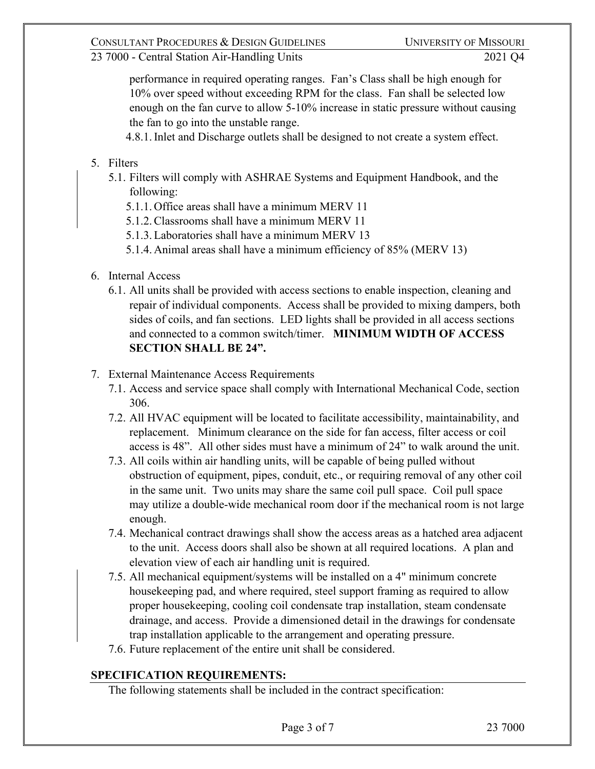23 7000 - Central Station Air-Handling Units 2021 Q4

performance in required operating ranges. Fan's Class shall be high enough for 10% over speed without exceeding RPM for the class. Fan shall be selected low enough on the fan curve to allow 5-10% increase in static pressure without causing the fan to go into the unstable range.

4.8.1.Inlet and Discharge outlets shall be designed to not create a system effect.

- 5. Filters
	- 5.1. Filters will comply with ASHRAE Systems and Equipment Handbook, and the following:
		- 5.1.1. Office areas shall have a minimum MERV 11
		- 5.1.2.Classrooms shall have a minimum MERV 11
		- 5.1.3.Laboratories shall have a minimum MERV 13
		- 5.1.4. Animal areas shall have a minimum efficiency of 85% (MERV 13)
- 6. Internal Access
	- 6.1. All units shall be provided with access sections to enable inspection, cleaning and repair of individual components. Access shall be provided to mixing dampers, both sides of coils, and fan sections. LED lights shall be provided in all access sections and connected to a common switch/timer. **MINIMUM WIDTH OF ACCESS SECTION SHALL BE 24".**
- 7. External Maintenance Access Requirements
	- 7.1. Access and service space shall comply with International Mechanical Code, section 306.
	- 7.2. All HVAC equipment will be located to facilitate accessibility, maintainability, and replacement. Minimum clearance on the side for fan access, filter access or coil access is 48". All other sides must have a minimum of 24" to walk around the unit.
	- 7.3. All coils within air handling units, will be capable of being pulled without obstruction of equipment, pipes, conduit, etc., or requiring removal of any other coil in the same unit. Two units may share the same coil pull space. Coil pull space may utilize a double-wide mechanical room door if the mechanical room is not large enough.
	- 7.4. Mechanical contract drawings shall show the access areas as a hatched area adjacent to the unit. Access doors shall also be shown at all required locations. A plan and elevation view of each air handling unit is required.
	- 7.5. All mechanical equipment/systems will be installed on a 4" minimum concrete housekeeping pad, and where required, steel support framing as required to allow proper housekeeping, cooling coil condensate trap installation, steam condensate drainage, and access. Provide a dimensioned detail in the drawings for condensate trap installation applicable to the arrangement and operating pressure.
	- 7.6. Future replacement of the entire unit shall be considered.

#### **SPECIFICATION REQUIREMENTS:**

The following statements shall be included in the contract specification: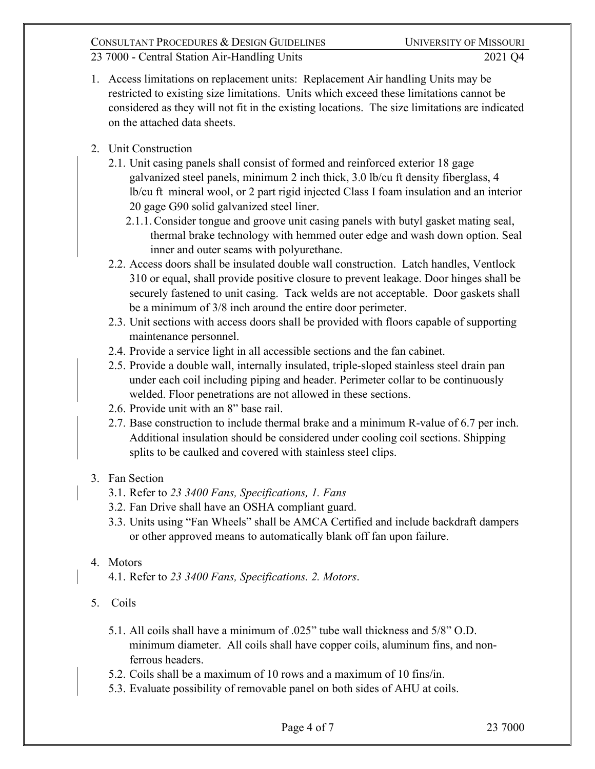23 7000 - Central Station Air-Handling Units 2021 Q4

- 1. Access limitations on replacement units: Replacement Air handling Units may be restricted to existing size limitations. Units which exceed these limitations cannot be considered as they will not fit in the existing locations. The size limitations are indicated on the attached data sheets.
- 2. Unit Construction
	- 2.1. Unit casing panels shall consist of formed and reinforced exterior 18 gage galvanized steel panels, minimum 2 inch thick, 3.0 lb/cu ft density fiberglass, 4 lb/cu ft mineral wool, or 2 part rigid injected Class I foam insulation and an interior 20 gage G90 solid galvanized steel liner.
		- 2.1.1.Consider tongue and groove unit casing panels with butyl gasket mating seal, thermal brake technology with hemmed outer edge and wash down option. Seal inner and outer seams with polyurethane.
	- 2.2. Access doors shall be insulated double wall construction. Latch handles, Ventlock 310 or equal, shall provide positive closure to prevent leakage. Door hinges shall be securely fastened to unit casing. Tack welds are not acceptable. Door gaskets shall be a minimum of 3/8 inch around the entire door perimeter.
	- 2.3. Unit sections with access doors shall be provided with floors capable of supporting maintenance personnel.
	- 2.4. Provide a service light in all accessible sections and the fan cabinet.
	- 2.5. Provide a double wall, internally insulated, triple-sloped stainless steel drain pan under each coil including piping and header. Perimeter collar to be continuously welded. Floor penetrations are not allowed in these sections.
	- 2.6. Provide unit with an 8" base rail.
	- 2.7. Base construction to include thermal brake and a minimum R-value of 6.7 per inch. Additional insulation should be considered under cooling coil sections. Shipping splits to be caulked and covered with stainless steel clips.
- 3. Fan Section
	- 3.1. Refer to *23 3400 Fans, Specifications, 1. Fans*
	- 3.2. Fan Drive shall have an OSHA compliant guard.
	- 3.3. Units using "Fan Wheels" shall be AMCA Certified and include backdraft dampers or other approved means to automatically blank off fan upon failure.
- 4. Motors
	- 4.1. Refer to *23 3400 Fans, Specifications. 2. Motors*.
- 5. Coils
	- 5.1. All coils shall have a minimum of .025" tube wall thickness and 5/8" O.D. minimum diameter. All coils shall have copper coils, aluminum fins, and nonferrous headers.
	- 5.2. Coils shall be a maximum of 10 rows and a maximum of 10 fins/in.
	- 5.3. Evaluate possibility of removable panel on both sides of AHU at coils.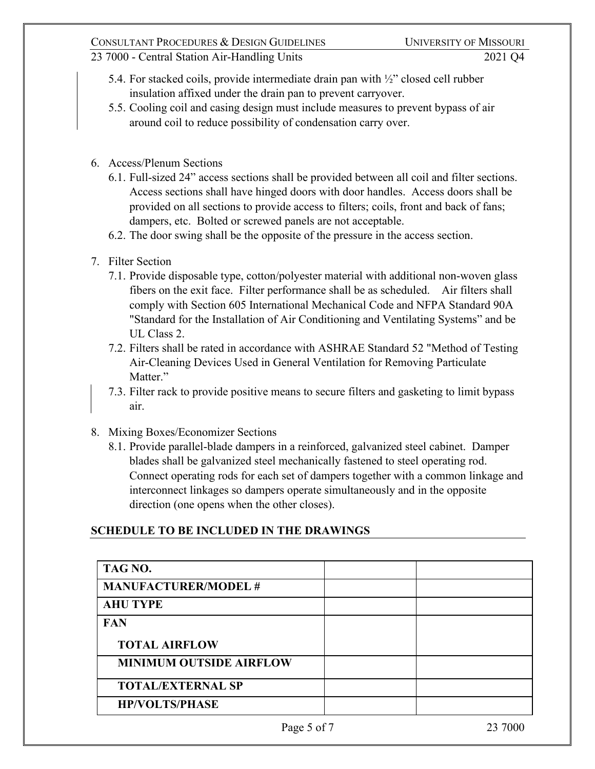### CONSULTANT PROCEDURES & DESIGN GUIDELINES UNIVERSITY OF MISSOURI

### 23 7000 - Central Station Air-Handling Units 2021 Q4

- 5.4. For stacked coils, provide intermediate drain pan with ½" closed cell rubber insulation affixed under the drain pan to prevent carryover.
- 5.5. Cooling coil and casing design must include measures to prevent bypass of air around coil to reduce possibility of condensation carry over.
- 6. Access/Plenum Sections
	- 6.1. Full-sized 24" access sections shall be provided between all coil and filter sections. Access sections shall have hinged doors with door handles. Access doors shall be provided on all sections to provide access to filters; coils, front and back of fans; dampers, etc. Bolted or screwed panels are not acceptable.
	- 6.2. The door swing shall be the opposite of the pressure in the access section.
- 7. Filter Section
	- 7.1. Provide disposable type, cotton/polyester material with additional non-woven glass fibers on the exit face. Filter performance shall be as scheduled. Air filters shall comply with Section 605 International Mechanical Code and NFPA Standard 90A "Standard for the Installation of Air Conditioning and Ventilating Systems" and be UL Class 2.
	- 7.2. Filters shall be rated in accordance with ASHRAE Standard 52 "Method of Testing Air-Cleaning Devices Used in General Ventilation for Removing Particulate Matter."
	- 7.3. Filter rack to provide positive means to secure filters and gasketing to limit bypass air.
- 8. Mixing Boxes/Economizer Sections
	- 8.1. Provide parallel-blade dampers in a reinforced, galvanized steel cabinet. Damper blades shall be galvanized steel mechanically fastened to steel operating rod. Connect operating rods for each set of dampers together with a common linkage and interconnect linkages so dampers operate simultaneously and in the opposite direction (one opens when the other closes).

#### **SCHEDULE TO BE INCLUDED IN THE DRAWINGS**

| TAG NO.                        |  |
|--------------------------------|--|
| <b>MANUFACTURER/MODEL#</b>     |  |
| <b>AHU TYPE</b>                |  |
| <b>FAN</b>                     |  |
| <b>TOTAL AIRFLOW</b>           |  |
| <b>MINIMUM OUTSIDE AIRFLOW</b> |  |
| <b>TOTAL/EXTERNAL SP</b>       |  |
| <b>HP/VOLTS/PHASE</b>          |  |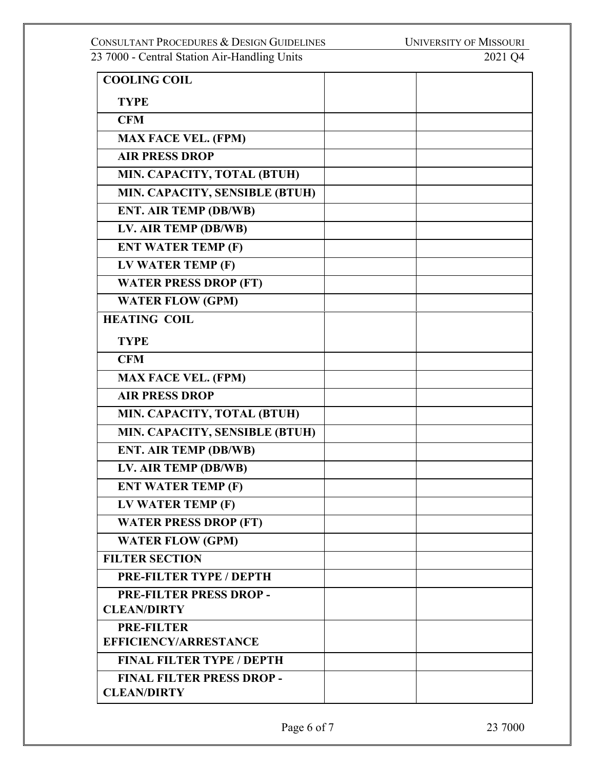**COOLING COIL TYPE CFM MAX FACE VEL. (FPM) AIR PRESS DROP MIN. CAPACITY, TOTAL (BTUH) MIN. CAPACITY, SENSIBLE (BTUH) ENT. AIR TEMP (DB/WB) LV. AIR TEMP (DB/WB) ENT WATER TEMP (F) LV WATER TEMP (F) WATER PRESS DROP (FT) WATER FLOW (GPM) HEATING COIL TYPE CFM MAX FACE VEL. (FPM) AIR PRESS DROP MIN. CAPACITY, TOTAL (BTUH) MIN. CAPACITY, SENSIBLE (BTUH) ENT. AIR TEMP (DB/WB) LV. AIR TEMP (DB/WB) ENT WATER TEMP (F) LV WATER TEMP (F) WATER PRESS DROP (FT) WATER FLOW (GPM) FILTER SECTION PRE-FILTER TYPE / DEPTH PRE-FILTER PRESS DROP - CLEAN/DIRTY PRE-FILTER EFFICIENCY/ARRESTANCE FINAL FILTER TYPE / DEPTH FINAL FILTER PRESS DROP - CLEAN/DIRTY**